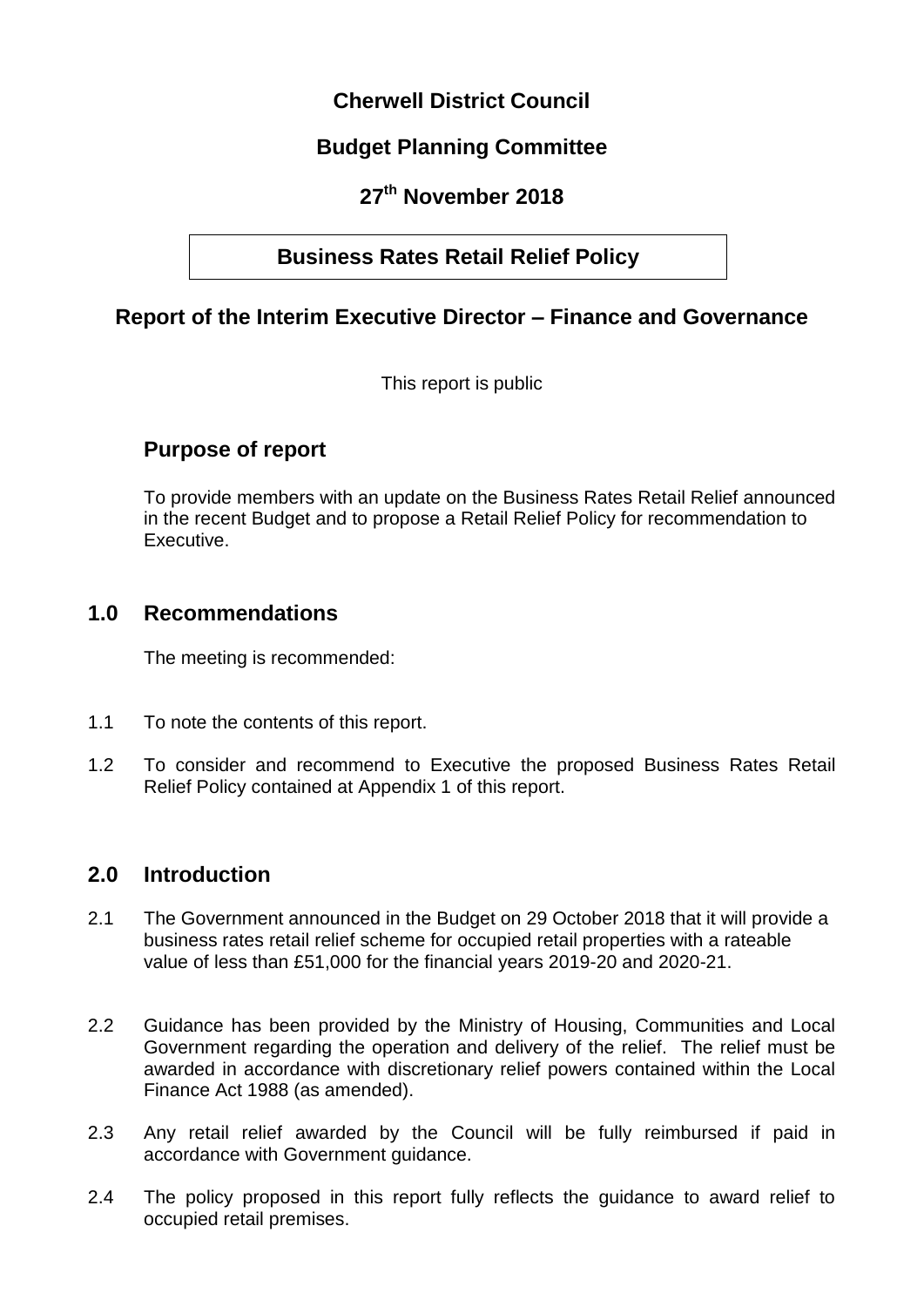# **Cherwell District Council**

# **Budget Planning Committee**

# **27th November 2018**

# **Business Rates Retail Relief Policy**

# **Report of the Interim Executive Director – Finance and Governance**

This report is public

# **Purpose of report**

To provide members with an update on the Business Rates Retail Relief announced in the recent Budget and to propose a Retail Relief Policy for recommendation to Executive.

## **1.0 Recommendations**

The meeting is recommended:

- 1.1 To note the contents of this report.
- 1.2 To consider and recommend to Executive the proposed Business Rates Retail Relief Policy contained at Appendix 1 of this report.

## **2.0 Introduction**

- 2.1 The Government announced in the Budget on 29 October 2018 that it will provide a business rates retail relief scheme for occupied retail properties with a rateable value of less than £51,000 for the financial years 2019-20 and 2020-21.
- 2.2 Guidance has been provided by the Ministry of Housing, Communities and Local Government regarding the operation and delivery of the relief. The relief must be awarded in accordance with discretionary relief powers contained within the Local Finance Act 1988 (as amended).
- 2.3 Any retail relief awarded by the Council will be fully reimbursed if paid in accordance with Government guidance.
- 2.4 The policy proposed in this report fully reflects the guidance to award relief to occupied retail premises.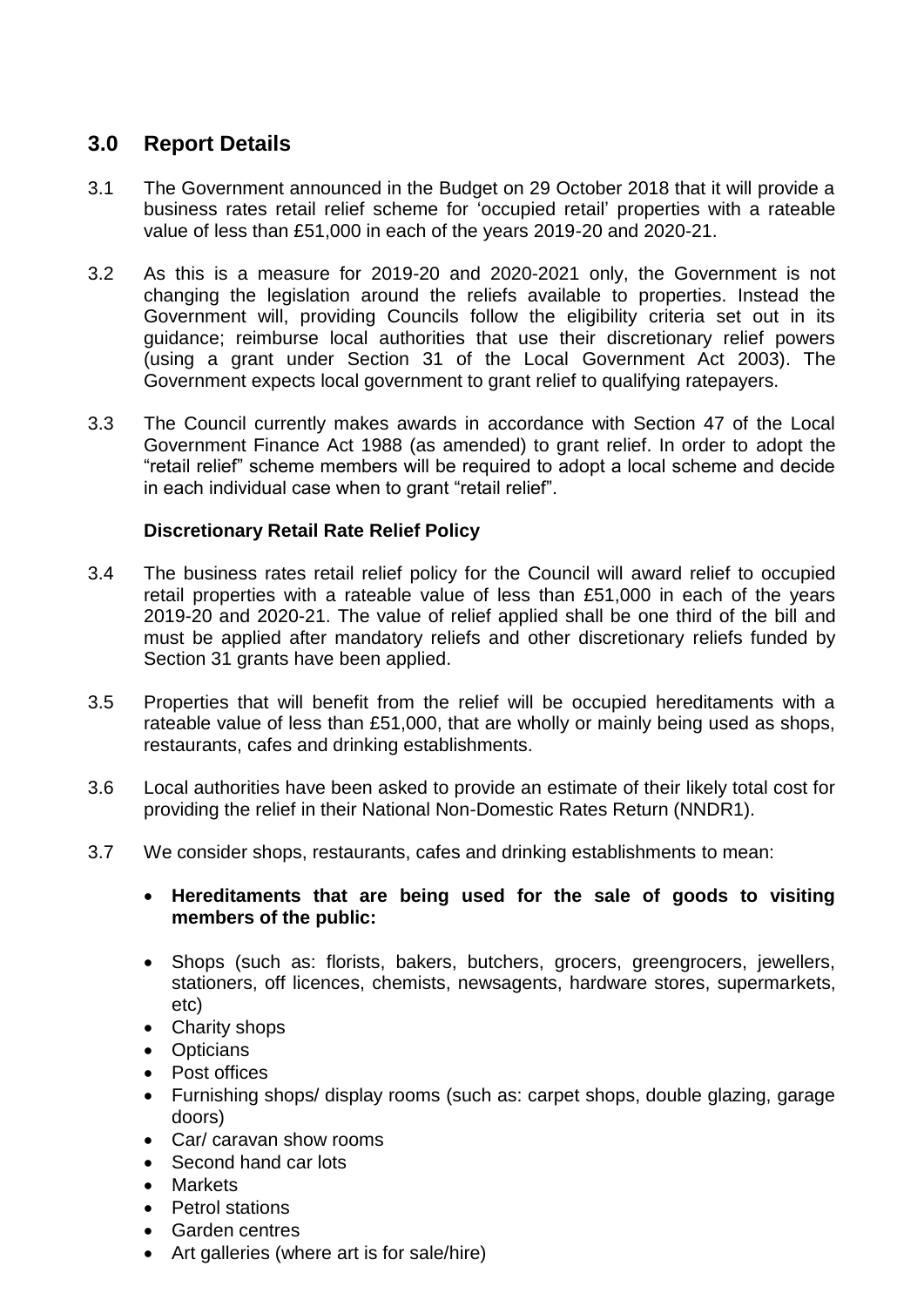# **3.0 Report Details**

- 3.1 The Government announced in the Budget on 29 October 2018 that it will provide a business rates retail relief scheme for 'occupied retail' properties with a rateable value of less than £51,000 in each of the years 2019-20 and 2020-21.
- 3.2 As this is a measure for 2019-20 and 2020-2021 only, the Government is not changing the legislation around the reliefs available to properties. Instead the Government will, providing Councils follow the eligibility criteria set out in its guidance; reimburse local authorities that use their discretionary relief powers (using a grant under Section 31 of the Local Government Act 2003). The Government expects local government to grant relief to qualifying ratepayers.
- 3.3 The Council currently makes awards in accordance with Section 47 of the Local Government Finance Act 1988 (as amended) to grant relief. In order to adopt the "retail relief" scheme members will be required to adopt a local scheme and decide in each individual case when to grant "retail relief".

#### **Discretionary Retail Rate Relief Policy**

- 3.4 The business rates retail relief policy for the Council will award relief to occupied retail properties with a rateable value of less than £51,000 in each of the years 2019-20 and 2020-21. The value of relief applied shall be one third of the bill and must be applied after mandatory reliefs and other discretionary reliefs funded by Section 31 grants have been applied.
- 3.5 Properties that will benefit from the relief will be occupied hereditaments with a rateable value of less than £51,000, that are wholly or mainly being used as shops, restaurants, cafes and drinking establishments.
- 3.6 Local authorities have been asked to provide an estimate of their likely total cost for providing the relief in their National Non-Domestic Rates Return (NNDR1).
- 3.7 We consider shops, restaurants, cafes and drinking establishments to mean:
	- **Hereditaments that are being used for the sale of goods to visiting members of the public:**
	- Shops (such as: florists, bakers, butchers, grocers, greengrocers, jewellers, stationers, off licences, chemists, newsagents, hardware stores, supermarkets, etc)
	- Charity shops
	- Opticians
	- Post offices
	- Furnishing shops/ display rooms (such as: carpet shops, double glazing, garage doors)
	- Car/ caravan show rooms
	- Second hand car lots
	- **Markets**
	- Petrol stations
	- Garden centres
	- Art galleries (where art is for sale/hire)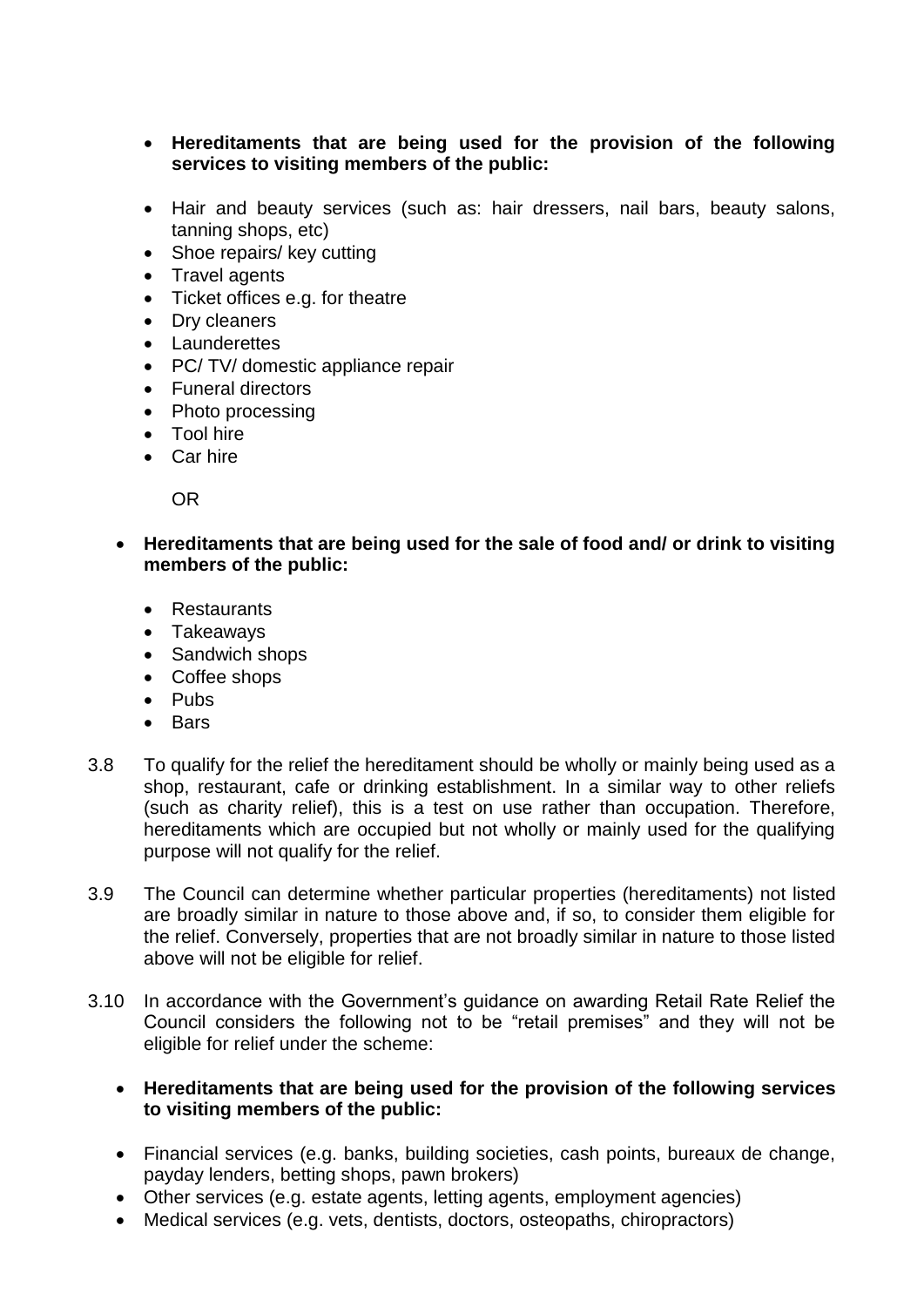- **Hereditaments that are being used for the provision of the following services to visiting members of the public:**
- Hair and beauty services (such as: hair dressers, nail bars, beauty salons, tanning shops, etc)
- Shoe repairs/ key cutting
- Travel agents
- Ticket offices e.g. for theatre
- Dry cleaners
- Launderettes
- PC/ TV/ domestic appliance repair
- Funeral directors
- Photo processing
- Tool hire
- Car hire

OR

 **Hereditaments that are being used for the sale of food and/ or drink to visiting members of the public:** 

- Restaurants
- Takeaways
- Sandwich shops
- Coffee shops
- Pubs
- Bars
- 3.8 To qualify for the relief the hereditament should be wholly or mainly being used as a shop, restaurant, cafe or drinking establishment. In a similar way to other reliefs (such as charity relief), this is a test on use rather than occupation. Therefore, hereditaments which are occupied but not wholly or mainly used for the qualifying purpose will not qualify for the relief.
- 3.9 The Council can determine whether particular properties (hereditaments) not listed are broadly similar in nature to those above and, if so, to consider them eligible for the relief. Conversely, properties that are not broadly similar in nature to those listed above will not be eligible for relief.
- 3.10 In accordance with the Government's guidance on awarding Retail Rate Relief the Council considers the following not to be "retail premises" and they will not be eligible for relief under the scheme:
	- **Hereditaments that are being used for the provision of the following services to visiting members of the public:**
	- Financial services (e.g. banks, building societies, cash points, bureaux de change, payday lenders, betting shops, pawn brokers)
	- Other services (e.g. estate agents, letting agents, employment agencies)
	- Medical services (e.g. vets, dentists, doctors, osteopaths, chiropractors)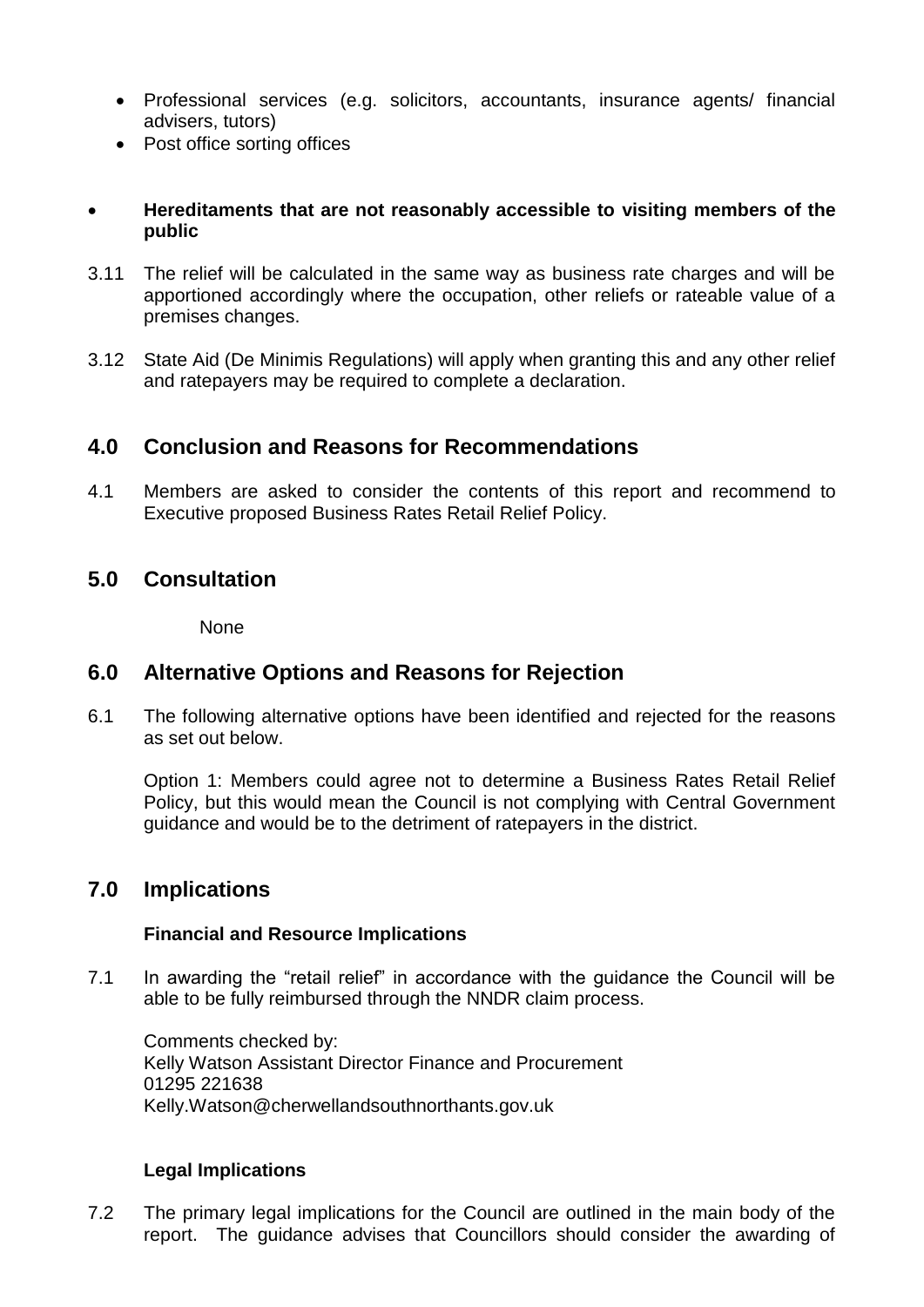- Professional services (e.g. solicitors, accountants, insurance agents/ financial advisers, tutors)
- Post office sorting offices

#### **Hereditaments that are not reasonably accessible to visiting members of the public**

- 3.11 The relief will be calculated in the same way as business rate charges and will be apportioned accordingly where the occupation, other reliefs or rateable value of a premises changes.
- 3.12 State Aid (De Minimis Regulations) will apply when granting this and any other relief and ratepayers may be required to complete a declaration.

## **4.0 Conclusion and Reasons for Recommendations**

4.1 Members are asked to consider the contents of this report and recommend to Executive proposed Business Rates Retail Relief Policy.

## **5.0 Consultation**

None

## **6.0 Alternative Options and Reasons for Rejection**

6.1 The following alternative options have been identified and rejected for the reasons as set out below.

Option 1: Members could agree not to determine a Business Rates Retail Relief Policy, but this would mean the Council is not complying with Central Government guidance and would be to the detriment of ratepayers in the district.

## **7.0 Implications**

#### **Financial and Resource Implications**

7.1 In awarding the "retail relief" in accordance with the guidance the Council will be able to be fully reimbursed through the NNDR claim process.

Comments checked by: Kelly Watson Assistant Director Finance and Procurement 01295 221638 Kelly.Watson@cherwellandsouthnorthants.gov.uk

#### **Legal Implications**

7.2 The primary legal implications for the Council are outlined in the main body of the report. The guidance advises that Councillors should consider the awarding of